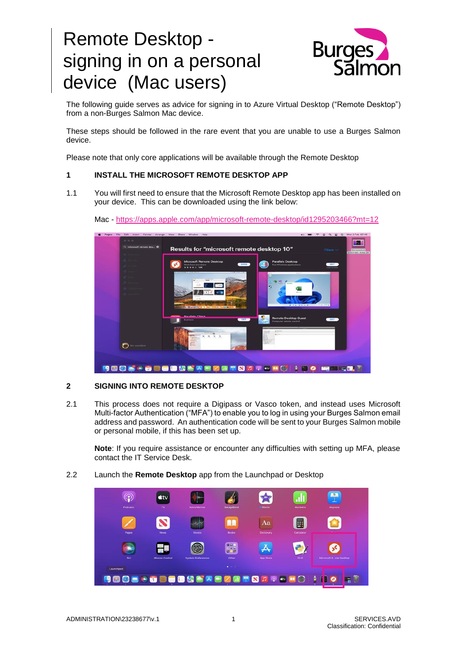# Remote Desktop signing in on a personal device (Mac users)



The following guide serves as advice for signing in to Azure Virtual Desktop ("Remote Desktop") from a non-Burges Salmon Mac device.

These steps should be followed in the rare event that you are unable to use a Burges Salmon device.

Please note that only core applications will be available through the Remote Desktop

## **1 INSTALL THE MICROSOFT REMOTE DESKTOP APP**

1.1 You will first need to ensure that the Microsoft Remote Desktop app has been installed on your device. This can be downloaded using the link below:



Mac - <https://apps.apple.com/app/microsoft-remote-desktop/id1295203466?mt=12>

## **2 SIGNING INTO REMOTE DESKTOP**

2.1 This process does not require a Digipass or Vasco token, and instead uses Microsoft Multi-factor Authentication ("MFA") to enable you to log in using your Burges Salmon email address and password. An authentication code will be sent to your Burges Salmon mobile or personal mobile, if this has been set up.

**Note**: If you require assistance or encounter any difficulties with setting up MFA, please contact the IT Service Desk.

2.2 Launch the **Remote Desktop** app from the Launchpad or Desktop

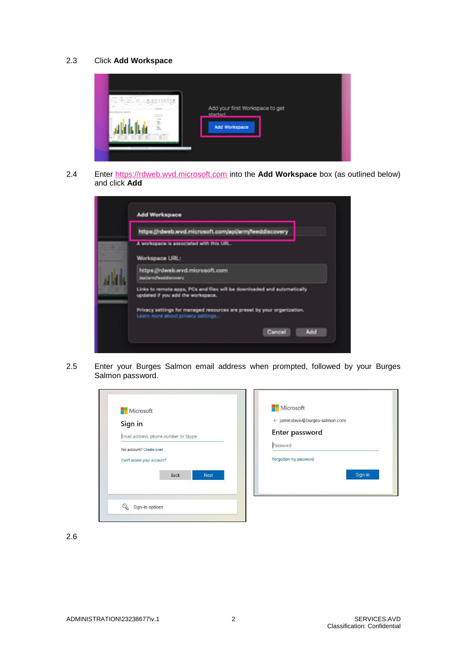# 2.3 Click **Add Workspace**



2.4 Enter [https://rdweb.wvd.microsoft.com](https://rdweb.wvd.microsoft.com/) into the **Add Workspace** box (as outlined below) and click **Add**

| <b>Add Workspace</b>                                                   |                                                                          |
|------------------------------------------------------------------------|--------------------------------------------------------------------------|
| https://rdweb.wvd.microsoft.com/api/arm/feeddiscovery                  |                                                                          |
| A workspace is associated with this URL.                               |                                                                          |
| Workspace URL:                                                         |                                                                          |
| https://rdweb.wvd.microsoft.com<br>Japijannj <sup>u</sup> esddiscovery |                                                                          |
| updated if you add the workspace.                                      | Links to remote apps, PCs and files will be downloaded and automatically |
| Learn more about privacy settings                                      | Privacy settings for managed resources are preset by your organization.  |
|                                                                        | Cancel<br>Add                                                            |

2.5 Enter your Burges Salmon email address when prompted, followed by your Burges Salmon password.

| Sign in                              | ← jamie.davis@burges-salmon.com |
|--------------------------------------|---------------------------------|
| Email address, phone number or Skype | Enter password                  |
| No account? Create one!              | Password                        |
| Can't access your account?           | Forgotten my password           |
| <b>Back</b><br><b>Next</b>           | Sign in                         |

2.6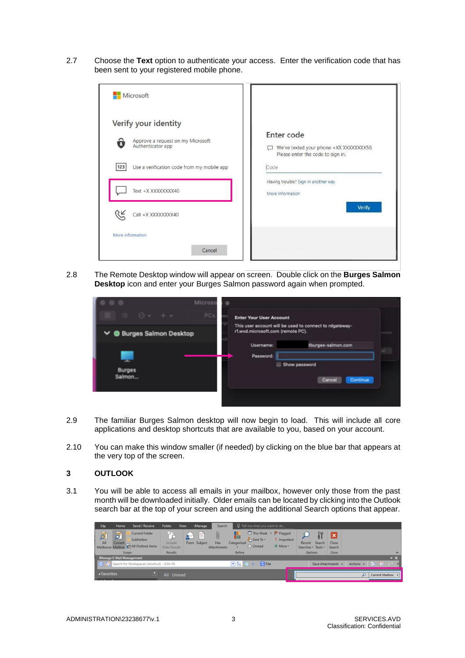2.7 Choose the **Text** option to authenticate your access. Enter the verification code that has been sent to your registered mobile phone.

| Microsoft                                                                                                                                                 |                                                                                                                                                               |
|-----------------------------------------------------------------------------------------------------------------------------------------------------------|---------------------------------------------------------------------------------------------------------------------------------------------------------------|
| Verify your identity<br>Approve a request on my Microsoft<br>Authenticator app<br>Use a verification code from my mobile app<br>123<br>Text +X XXXXXXXX40 | Enter code<br>We've texted your phone +XX XXXXXXXX50.<br>Please enter the code to sign in.<br>Code<br>Having trouble? Sign in another way<br>More information |
| Call +X XXXXXXXX40<br>More information<br>Cancel                                                                                                          | <b>Verify</b>                                                                                                                                                 |

2.8 The Remote Desktop window will appear on screen. Double click on the **Burges Salmon Desktop** icon and enter your Burges Salmon password again when prompted.

| .                         | Microso                                                                                                                                |
|---------------------------|----------------------------------------------------------------------------------------------------------------------------------------|
| $981 \equiv 0 + +$        | PC <sub>s</sub><br><b>Enter Your User Account</b>                                                                                      |
| ∨ ● Burges Salmon Desktop | This user account will be used to connect to rdgateway-<br>r1.wvd.microsoft.com (remote PC).<br><b>Username:</b><br>Pourges-salmon.com |
| <b>Burges</b><br>Salmon   | Password:<br>Show password<br>Continue<br>Cancel                                                                                       |
|                           |                                                                                                                                        |

- 2.9 The familiar Burges Salmon desktop will now begin to load. This will include all core applications and desktop shortcuts that are available to you, based on your account.
- 2.10 You can make this window smaller (if needed) by clicking on the blue bar that appears at the very top of the screen.

## **3 OUTLOOK**

3.1 You will be able to access all emails in your mailbox, however only those from the past month will be downloaded initially. Older emails can be located by clicking into the Outlook search bar at the top of your screen and using the additional Search options that appear.

| File                      | Home  | Send / Receive                                                                                             | Folder                                   | View | iManage           | Search                  |                                         | $Q$ Tell me what you want to do                                          |                      |                              |        |                      |           |                   |                       |
|---------------------------|-------|------------------------------------------------------------------------------------------------------------|------------------------------------------|------|-------------------|-------------------------|-----------------------------------------|--------------------------------------------------------------------------|----------------------|------------------------------|--------|----------------------|-----------|-------------------|-----------------------|
| đ<br>All                  | 圆     | <b>Current Folder</b><br><b>Subfolders</b><br>All Current<br>Mailboxes Mailbox <b>31</b> All Outlook Items | <b>TETTS</b><br>Include<br>Older Results |      | e<br>From Subject | U<br>Has<br>Attachments | Categorized<br>$\overline{\phantom{a}}$ | This Week v Flagged<br>$\frac{1}{2}$ Sent To $\sim$<br>$\bigcirc$ Unread | Important<br>$More*$ | Recent<br>Searches * Tools * | Search | ×<br>Close<br>Search |           |                   |                       |
|                           | Scope |                                                                                                            | Results                                  |      |                   |                         | Refine                                  |                                                                          |                      | <b>Options</b>               |        | Close                |           |                   | $\boldsymbol{\wedge}$ |
| iManage E-Mail Management |       |                                                                                                            |                                          |      |                   |                         |                                         |                                                                          |                      |                              |        |                      |           |                   | $\mathbf{v} \times$   |
|                           |       | <b>Search for Workspaces (shortcut) - (Ctrl+9)</b>                                                         |                                          |      |                   |                         | ■5 セ+                                   | <b>R</b> File                                                            |                      |                              |        | Save Attachments -   | Actions - | <u>ि वि</u>       | H.                    |
| ▲ Favorites               |       |                                                                                                            | All Unread                               |      |                   |                         |                                         |                                                                          |                      |                              |        |                      | $\Omega$  | Current Mailbox - |                       |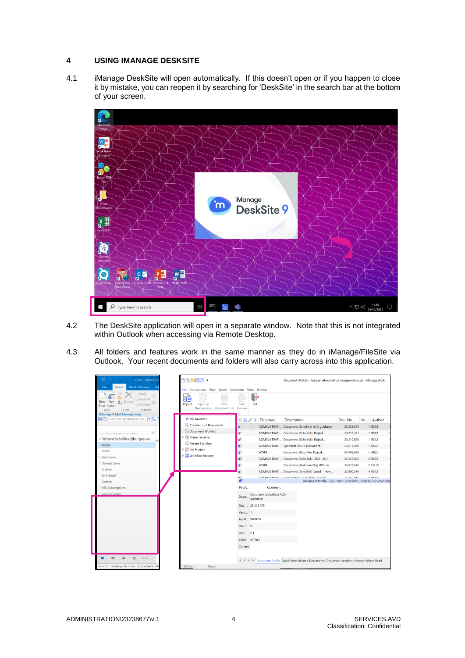## **4 USING IMANAGE DESKSITE**

4.1 iManage DeskSite will open automatically. If this doesn't open or if you happen to close it by mistake, you can reopen it by searching for 'DeskSite' in the search bar at the bottom of your screen.



- 4.2 The DeskSite application will open in a separate window. Note that this is not integrated within Outlook when accessing via Remote Desktop.
- 4.3 All folders and features work in the same manner as they do in iManage/FileSite via Outlook. Your recent documents and folders will also carry across into this application.

| <b>Inbox - Richard.Sc</b>                                                                                                                         | 最適自謂? -                                                                                                                                              |                    |                                      | Document Worklist - burges-salmon-dms.imanagework.co.uk - iManage Work                         |            |           |
|---------------------------------------------------------------------------------------------------------------------------------------------------|------------------------------------------------------------------------------------------------------------------------------------------------------|--------------------|--------------------------------------|------------------------------------------------------------------------------------------------|------------|-----------|
| <b>Send / Receive</b><br>File<br>Home<br>Fol<br>Reply<br>Reply All<br>. Delete<br>2.<br>New<br>Forward<br>Email Items<br>Delete<br>Respond<br>New | Connections View Search Document Tools Browser<br>File<br>FR<br>$\mathbf{H}$<br>Print<br>Import<br>Import as<br>New Version<br>Document List Preview | Print              | Exit                                 |                                                                                                |            |           |
| iManage E-Mail Management<br>→ लि Search for Workspaces (sh ▼ )                                                                                   | My Favorites                                                                                                                                         | Fì<br>$\Omega$     | Database<br>m                        | Description                                                                                    | Doc. Nu    | Ve Author |
|                                                                                                                                                   | Checked-out Documents                                                                                                                                | ä<br>⊡             |                                      | ADMINISTRATI Document (Schollick) AVD guidance                                                 | 23,225,075 | 1 RS12    |
| $\Rightarrow$<br>Drag Your Favorite Folders Here                                                                                                  | Document Worklist                                                                                                                                    | ø۴                 |                                      | ADMINISTRATI Document (Schollick) Digital                                                      | 23,218,371 | 1 RS12    |
| - Richard.Schollick@burges-sal nd                                                                                                                 | Matter Worklist                                                                                                                                      | ۵P                 |                                      | ADMINISTRATI Document (Schollick) Digital                                                      | 23,210,820 | 1 RS12    |
| Inbox                                                                                                                                             | Recent Searches                                                                                                                                      | ۵                  |                                      | ADMINISTRATI Specialist BSRD Document                                                          | 23,217,870 | 1 RS12    |
| <b>Drafts</b>                                                                                                                                     | $\triangleright$ $\frac{1}{20}$ My Matters                                                                                                           | ದ                  | <b>WORK</b>                          | Document (Ratcliffe) Digital                                                                   | 43,089,690 | 1 AR20    |
| Sent Items                                                                                                                                        | <b>WorkSite Explorer</b>                                                                                                                             | dii                | ADMINISTRATI                         | Document (Schollick) 2020 LTC4                                                                 | 23,127,622 | 2 RS12    |
| Deleted Items                                                                                                                                     |                                                                                                                                                      | ď                  | <b>WORK</b>                          | Document (Goldsworthy) iPhone                                                                  | 35.675.616 | 2 CG10    |
| Archive                                                                                                                                           |                                                                                                                                                      |                    | ADMINISTRATI                         | Document (Schollick) Word - How                                                                | 22.900.246 | 4 RS12    |
| Junk Email                                                                                                                                        |                                                                                                                                                      | <b>Let</b>         | <b>A PLAIR LIFT DATE</b>             | <b>December 20 dealback District</b>                                                           | 33.340.04E | $n$ ncan  |
| Outbox                                                                                                                                            |                                                                                                                                                      | Prof               | Content                              | Document Profile - Document: 23225075_1.DOCX (Document (Sc                                     |            |           |
| <b>RSS Subscriptions</b><br>Search Folders                                                                                                        |                                                                                                                                                      |                    |                                      |                                                                                                |            |           |
|                                                                                                                                                   |                                                                                                                                                      | Descr              | Document (Schollick) AVD<br>quidance |                                                                                                |            |           |
|                                                                                                                                                   |                                                                                                                                                      | Doc 23,225,075     |                                      |                                                                                                |            |           |
|                                                                                                                                                   |                                                                                                                                                      | Versi 1            |                                      |                                                                                                |            |           |
|                                                                                                                                                   |                                                                                                                                                      | Appli WORDX        |                                      |                                                                                                |            |           |
|                                                                                                                                                   |                                                                                                                                                      | Doc T D            |                                      |                                                                                                |            |           |
|                                                                                                                                                   |                                                                                                                                                      | <b>ITT</b><br>Unit |                                      |                                                                                                |            |           |
|                                                                                                                                                   |                                                                                                                                                      | Topic              | <b>INTNET</b>                        |                                                                                                |            |           |
|                                                                                                                                                   |                                                                                                                                                      | Comme              |                                      |                                                                                                |            |           |
|                                                                                                                                                   |                                                                                                                                                      |                    |                                      |                                                                                                |            |           |
| 囪<br>                                                                                                                                             |                                                                                                                                                      |                    |                                      | IL < I > IL Document Profile Quick View Related Documents Document Versions History Where Used |            |           |
| tems: 0 Updating this folder. Connected to: Mi                                                                                                    | Ready<br>138 Items                                                                                                                                   |                    |                                      |                                                                                                |            |           |